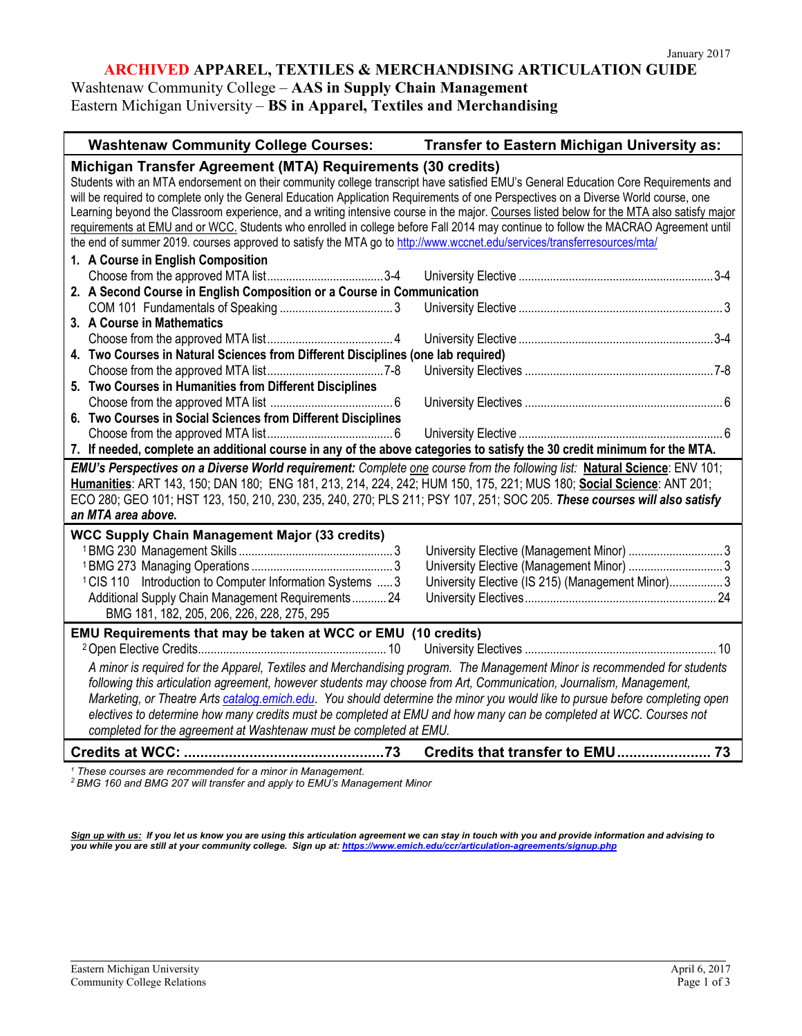### **ARCHIVED APPAREL, TEXTILES & MERCHANDISING ARTICULATION GUIDE**

Washtenaw Community College – **AAS in Supply Chain Management** Eastern Michigan University – **BS in Apparel, Textiles and Merchandising**

| <b>Washtenaw Community College Courses:</b>                                                                                                                                                                                                                                                                                                                                                                                                                                                                                                                                                                                                                                                                                                                                                                                                                               | Transfer to Eastern Michigan University as:       |  |  |
|---------------------------------------------------------------------------------------------------------------------------------------------------------------------------------------------------------------------------------------------------------------------------------------------------------------------------------------------------------------------------------------------------------------------------------------------------------------------------------------------------------------------------------------------------------------------------------------------------------------------------------------------------------------------------------------------------------------------------------------------------------------------------------------------------------------------------------------------------------------------------|---------------------------------------------------|--|--|
| Michigan Transfer Agreement (MTA) Requirements (30 credits)<br>Students with an MTA endorsement on their community college transcript have satisfied EMU's General Education Core Requirements and<br>will be required to complete only the General Education Application Requirements of one Perspectives on a Diverse World course, one<br>Learning beyond the Classroom experience, and a writing intensive course in the major. Courses listed below for the MTA also satisfy major<br>requirements at EMU and or WCC. Students who enrolled in college before Fall 2014 may continue to follow the MACRAO Agreement until<br>the end of summer 2019. courses approved to satisfy the MTA go to http://www.wccnet.edu/services/transferresources/mta/<br>1. A Course in English Composition<br>2. A Second Course in English Composition or a Course in Communication |                                                   |  |  |
| 3. A Course in Mathematics<br>4. Two Courses in Natural Sciences from Different Disciplines (one lab required)<br>5. Two Courses in Humanities from Different Disciplines<br>6. Two Courses in Social Sciences from Different Disciplines                                                                                                                                                                                                                                                                                                                                                                                                                                                                                                                                                                                                                                 |                                                   |  |  |
| 7. If needed, complete an additional course in any of the above categories to satisfy the 30 credit minimum for the MTA.<br>EMU's Perspectives on a Diverse World requirement: Complete one course from the following list: Natural Science: ENV 101;<br>Humanities: ART 143, 150; DAN 180; ENG 181, 213, 214, 224, 242; HUM 150, 175, 221; MUS 180; Social Science: ANT 201;<br>ECO 280; GEO 101; HST 123, 150, 210, 230, 235, 240, 270; PLS 211; PSY 107, 251; SOC 205. These courses will also satisfy<br>an MTA area above.                                                                                                                                                                                                                                                                                                                                           |                                                   |  |  |
| <b>WCC Supply Chain Management Major (33 credits)</b><br><sup>1</sup> CIS 110 Introduction to Computer Information Systems  3<br>Additional Supply Chain Management Requirements 24<br>BMG 181, 182, 205, 206, 226, 228, 275, 295                                                                                                                                                                                                                                                                                                                                                                                                                                                                                                                                                                                                                                         | University Elective (IS 215) (Management Minor) 3 |  |  |
| EMU Requirements that may be taken at WCC or EMU (10 credits)<br>A minor is required for the Apparel, Textiles and Merchandising program. The Management Minor is recommended for students<br>following this articulation agreement, however students may choose from Art, Communication, Journalism, Management,<br>Marketing, or Theatre Arts catalog.emich.edu. You should determine the minor you would like to pursue before completing open<br>electives to determine how many credits must be completed at EMU and how many can be completed at WCC. Courses not<br>completed for the agreement at Washtenaw must be completed at EMU.                                                                                                                                                                                                                             |                                                   |  |  |
|                                                                                                                                                                                                                                                                                                                                                                                                                                                                                                                                                                                                                                                                                                                                                                                                                                                                           |                                                   |  |  |

*<sup>1</sup> These courses are recommended for a minor in Management.* 

*<sup>2</sup> BMG 160 and BMG 207 will transfer and apply to EMU's Management Minor*

*Sign up with us: If you let us know you are using this articulation agreement we can stay in touch with you and provide information and advising to you while you are still at your community college. Sign up at[: https://www.emich.edu/ccr/articulation-agreements/signup.php](https://www.emich.edu/ccr/articulation-agreements/signup.php)*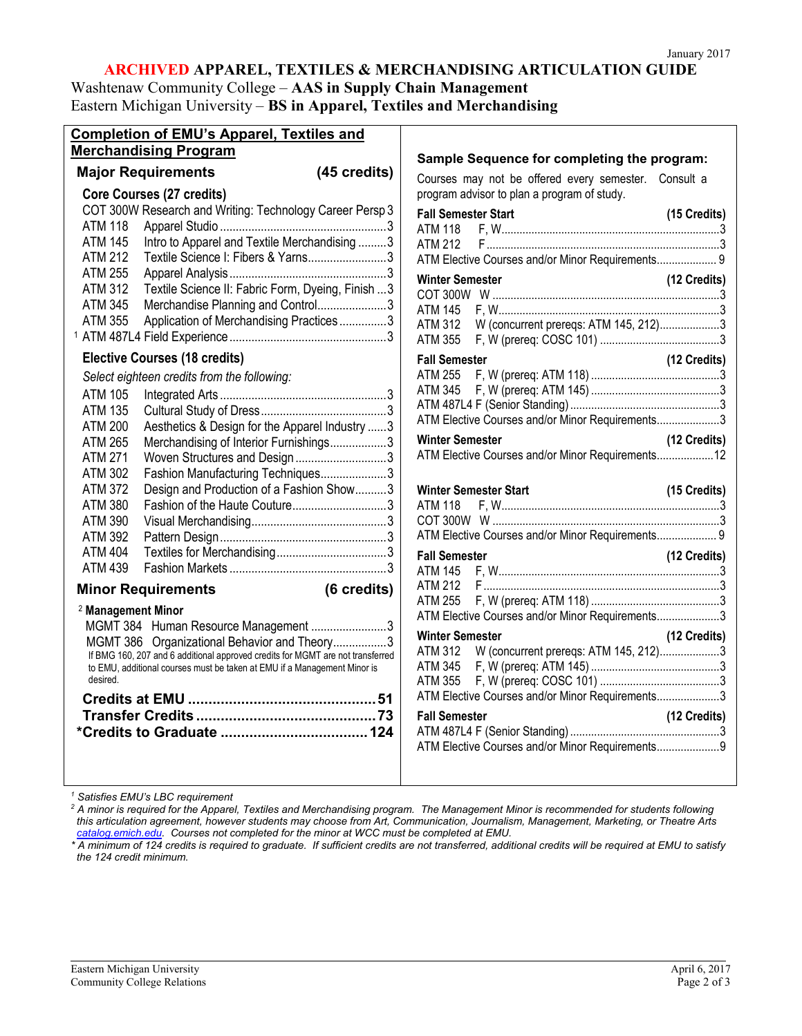# **ARCHIVED APPAREL, TEXTILES & MERCHANDISING ARTICULATION GUIDE**

Washtenaw Community College – **AAS in Supply Chain Management** Eastern Michigan University – **BS in Apparel, Textiles and Merchandising**

| <b>Completion of EMU's Apparel, Textiles and</b>                                                                               |              |                                                                                                     |                |
|--------------------------------------------------------------------------------------------------------------------------------|--------------|-----------------------------------------------------------------------------------------------------|----------------|
| <b>Merchandising Program</b>                                                                                                   |              |                                                                                                     |                |
| <b>Major Requirements</b>                                                                                                      | (45 credits) | Sample Sequence for completing the program:                                                         |                |
| Core Courses (27 credits)                                                                                                      |              | Courses may not be offered every semester. Consult a<br>program advisor to plan a program of study. |                |
| COT 300W Research and Writing: Technology Career Persp 3                                                                       |              | <b>Fall Semester Start</b>                                                                          | $(15$ Credits) |
| ATM 118                                                                                                                        |              | ATM 118                                                                                             |                |
| Intro to Apparel and Textile Merchandising 3<br><b>ATM 145</b>                                                                 |              | ATM 212                                                                                             |                |
| <b>ATM 212</b><br>Textile Science I: Fibers & Yarns3                                                                           |              | ATM Elective Courses and/or Minor Requirements 9                                                    |                |
| <b>ATM 255</b>                                                                                                                 |              | <b>Winter Semester</b>                                                                              | (12 Credits)   |
| <b>ATM 312</b><br>Textile Science II: Fabric Form, Dyeing, Finish  3                                                           |              |                                                                                                     |                |
| <b>ATM 345</b><br>Merchandise Planning and Control3                                                                            |              | ATM 145                                                                                             |                |
| <b>ATM 355</b><br>Application of Merchandising Practices3                                                                      |              | W (concurrent prereqs: ATM 145, 212)3<br><b>ATM 312</b>                                             |                |
|                                                                                                                                |              | <b>ATM 355</b>                                                                                      |                |
| <b>Elective Courses (18 credits)</b>                                                                                           |              | <b>Fall Semester</b>                                                                                | (12 Credits)   |
| Select eighteen credits from the following:                                                                                    |              | <b>ATM 255</b>                                                                                      |                |
| ATM 105                                                                                                                        |              |                                                                                                     |                |
| <b>ATM 135</b>                                                                                                                 |              |                                                                                                     |                |
| <b>ATM 200</b><br>Aesthetics & Design for the Apparel Industry 3                                                               |              | ATM Elective Courses and/or Minor Requirements3                                                     |                |
| <b>ATM 265</b><br>Merchandising of Interior Furnishings3                                                                       |              | <b>Winter Semester</b>                                                                              | (12 Credits)   |
| <b>ATM 271</b><br>Woven Structures and Design3                                                                                 |              | ATM Elective Courses and/or Minor Requirements 12                                                   |                |
| ATM 302<br>Fashion Manufacturing Techniques3                                                                                   |              |                                                                                                     |                |
| Design and Production of a Fashion Show3<br><b>ATM 372</b>                                                                     |              | <b>Winter Semester Start</b>                                                                        | (15 Credits)   |
| <b>ATM 380</b>                                                                                                                 |              | ATM 118                                                                                             |                |
| <b>ATM 390</b>                                                                                                                 |              |                                                                                                     |                |
| <b>ATM 392</b>                                                                                                                 |              | ATM Elective Courses and/or Minor Requirements 9                                                    |                |
| <b>ATM 404</b>                                                                                                                 |              | <b>Fall Semester</b>                                                                                | (12 Credits)   |
| <b>ATM 439</b>                                                                                                                 |              | ATM 145                                                                                             |                |
| <b>Minor Requirements</b>                                                                                                      | (6 credits)  | ATM 212                                                                                             |                |
|                                                                                                                                |              | ATM 255                                                                                             |                |
| <sup>2</sup> Management Minor                                                                                                  |              | ATM Elective Courses and/or Minor Requirements3                                                     |                |
| MGMT 384 Human Resource Management 3                                                                                           |              | <b>Winter Semester</b>                                                                              | (12 Credits)   |
| MGMT 386 Organizational Behavior and Theory3<br>If BMG 160, 207 and 6 additional approved credits for MGMT are not transferred |              | W (concurrent prereqs: ATM 145, 212)3<br>ATM 312                                                    |                |
| to EMU, additional courses must be taken at EMU if a Management Minor is                                                       |              | ATM 345                                                                                             |                |
| desired.                                                                                                                       |              | ATM 355                                                                                             |                |
|                                                                                                                                |              | ATM Elective Courses and/or Minor Requirements3                                                     |                |
|                                                                                                                                |              | <b>Fall Semester</b>                                                                                | (12 Credits)   |
|                                                                                                                                |              |                                                                                                     |                |
|                                                                                                                                |              | ATM Elective Courses and/or Minor Requirements9                                                     |                |
|                                                                                                                                |              |                                                                                                     |                |
|                                                                                                                                |              |                                                                                                     |                |

*<sup>1</sup> Satisfies EMU's LBC requirement*

*<sup>2</sup> A minor is required for the Apparel, Textiles and Merchandising program. The Management Minor is recommended for students following this articulation agreement, however students may choose from Art, Communication, Journalism, Management, Marketing, or Theatre Arts catalog.emich.edu. Courses not completed for the minor at WCC must be completed at EMU.*

*\* A minimum of 124 credits is required to graduate. If sufficient credits are not transferred, additional credits will be required at EMU to satisfy the 124 credit minimum.*